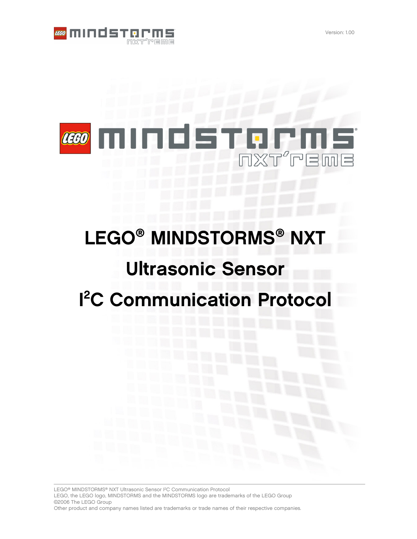

## LEGO İГ Innl

# LEGO<sup>®</sup> MINDSTORMS<sup>®</sup> NXT **Ultrasonic Sensor** <sup>2</sup>C Communication Protocol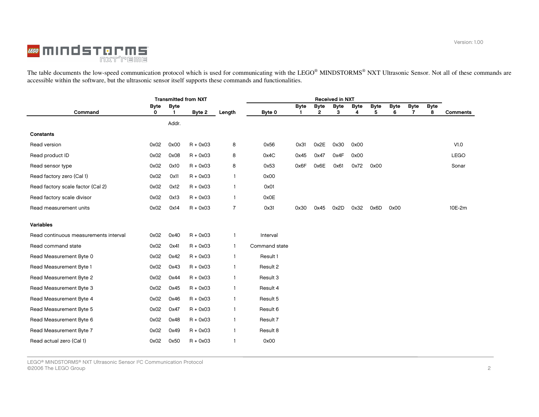

The table documents the low-speed communication protocol which is used for communicating with the LEGO® MINDSTORMS® NXT Ultrasonic Sensor. Not all of these commands are accessible within the software, but the ultrasonic se

|                                       | <b>Transmitted from NXT</b> |             |            |                | <b>Received in NXT</b> |             |              |             |             |             |             |             |             |                 |
|---------------------------------------|-----------------------------|-------------|------------|----------------|------------------------|-------------|--------------|-------------|-------------|-------------|-------------|-------------|-------------|-----------------|
|                                       | <b>Byte</b>                 | <b>Byte</b> |            |                |                        | <b>Byte</b> | <b>Byte</b>  | <b>Byte</b> | <b>Byte</b> | <b>Byte</b> | <b>Byte</b> | <b>Byte</b> | <b>Byte</b> |                 |
| Command                               | 0                           |             | Byte 2     | Length         | Byte 0                 |             | $\mathbf{2}$ | З           | 4           | 5           | 6           | 7           | 8           | <b>Comments</b> |
|                                       |                             | Addr.       |            |                |                        |             |              |             |             |             |             |             |             |                 |
| Constants                             |                             |             |            |                |                        |             |              |             |             |             |             |             |             |                 |
| Read version                          | 0x02                        | 0x00        | $R + 0x03$ | 8              | 0x56                   | 0x31        | 0x2E         | 0x30        | 0x00        |             |             |             |             | V1.0            |
| Read product ID                       | 0x02                        | 0x08        | $R + 0x03$ | 8              | 0x4C                   | 0x45        | 0x47         | 0x4F        | 0x00        |             |             |             |             | <b>LEGO</b>     |
| Read sensor type                      | 0x02                        | 0x10        | $R + 0x03$ | 8              | 0x53                   | 0x6F        | 0x6E         | 0x61        | 0x72        | 0x00        |             |             |             | Sonar           |
| Read factory zero (Cal 1)             | 0x02                        | 0x11        | $R + 0x03$ | $\mathbf{1}$   | 0x00                   |             |              |             |             |             |             |             |             |                 |
| Read factory scale factor (Cal 2)     | 0x02                        | 0x12        | $R + 0x03$ | $\mathbf{1}$   | 0x01                   |             |              |             |             |             |             |             |             |                 |
| Read factory scale divisor            | 0x02                        | 0x13        | $R + 0x03$ | $\mathbf{1}$   | 0x0E                   |             |              |             |             |             |             |             |             |                 |
| Read measurement units                | 0x02                        | 0x14        | $R + 0x03$ | $\overline{7}$ | 0x31                   | 0x30        | 0x45         | 0x2D        | 0x32        | 0x6D        | 0x00        |             |             | 10E-2m          |
|                                       |                             |             |            |                |                        |             |              |             |             |             |             |             |             |                 |
| Variables                             |                             |             |            |                |                        |             |              |             |             |             |             |             |             |                 |
| Read continuous measurements interval | 0x02                        | 0x40        | $R + 0x03$ | $\mathbf{1}$   | Interval               |             |              |             |             |             |             |             |             |                 |
| Read command state                    | 0x02                        | 0x41        | $R + 0x03$ | $\mathbf{1}$   | Command state          |             |              |             |             |             |             |             |             |                 |
| Read Measurement Byte 0               | 0x02                        | 0x42        | $R + 0x03$ | $\mathbf{1}$   | Result 1               |             |              |             |             |             |             |             |             |                 |
| Read Measurement Byte 1               | 0x02                        | 0x43        | $R + 0x03$ | $\mathbf{1}$   | Result 2               |             |              |             |             |             |             |             |             |                 |
| Read Measurement Byte 2               | 0x02                        | 0x44        | $R + 0x03$ | $\mathbf{1}$   | Result 3               |             |              |             |             |             |             |             |             |                 |
| Read Measurement Byte 3               | 0x02                        | 0x45        | $R + 0x03$ | $\mathbf{1}$   | Result 4               |             |              |             |             |             |             |             |             |                 |
| Read Measurement Byte 4               | 0x02                        | 0x46        | $R + 0x03$ | $\mathbf{1}$   | Result 5               |             |              |             |             |             |             |             |             |                 |
| Read Measurement Byte 5               | 0x02                        | 0x47        | $R + 0x03$ | $\mathbf{1}$   | Result 6               |             |              |             |             |             |             |             |             |                 |
| Read Measurement Byte 6               | 0x02                        | 0x48        | $R + 0x03$ | $\mathbf{1}$   | Result 7               |             |              |             |             |             |             |             |             |                 |
| Read Measurement Byte 7               | 0x02                        | 0x49        | $R + 0x03$ | $\mathbf{1}$   | Result 8               |             |              |             |             |             |             |             |             |                 |
| Read actual zero (Cal 1)              | 0x02                        | 0x50        | $R + 0x03$ |                | 0x00                   |             |              |             |             |             |             |             |             |                 |